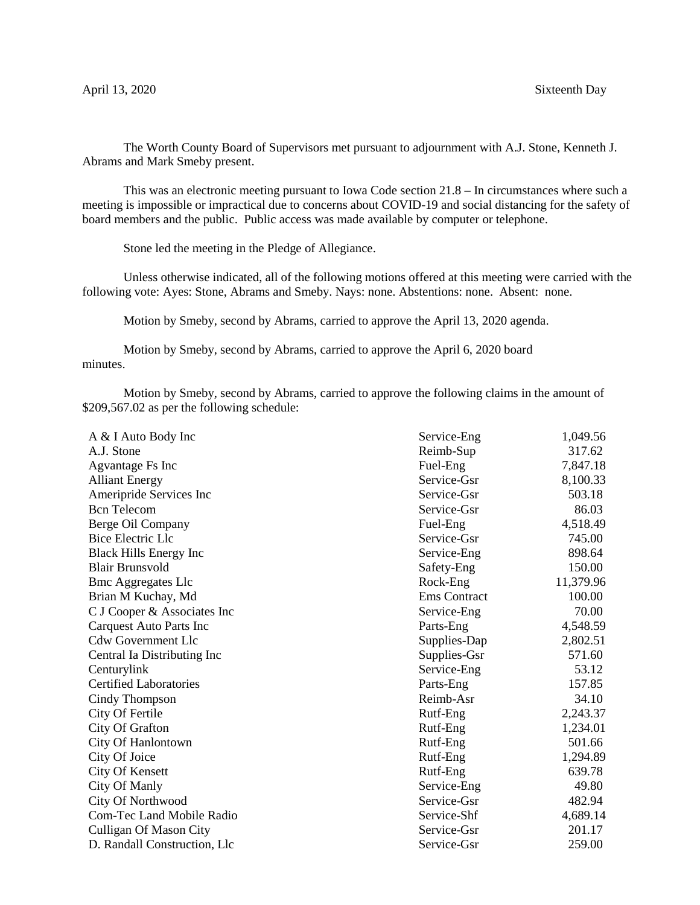The Worth County Board of Supervisors met pursuant to adjournment with A.J. Stone, Kenneth J. Abrams and Mark Smeby present.

This was an electronic meeting pursuant to Iowa Code section 21.8 – In circumstances where such a meeting is impossible or impractical due to concerns about COVID-19 and social distancing for the safety of board members and the public. Public access was made available by computer or telephone.

Stone led the meeting in the Pledge of Allegiance.

Unless otherwise indicated, all of the following motions offered at this meeting were carried with the following vote: Ayes: Stone, Abrams and Smeby. Nays: none. Abstentions: none. Absent: none.

Motion by Smeby, second by Abrams, carried to approve the April 13, 2020 agenda.

Motion by Smeby, second by Abrams, carried to approve the April 6, 2020 board minutes.

Motion by Smeby, second by Abrams, carried to approve the following claims in the amount of \$209,567.02 as per the following schedule:

| Service-Eng         | 1,049.56  |
|---------------------|-----------|
| Reimb-Sup           | 317.62    |
| Fuel-Eng            | 7,847.18  |
| Service-Gsr         | 8,100.33  |
| Service-Gsr         | 503.18    |
| Service-Gsr         | 86.03     |
| Fuel-Eng            | 4,518.49  |
| Service-Gsr         | 745.00    |
| Service-Eng         | 898.64    |
| Safety-Eng          | 150.00    |
| Rock-Eng            | 11,379.96 |
| <b>Ems</b> Contract | 100.00    |
| Service-Eng         | 70.00     |
| Parts-Eng           | 4,548.59  |
| Supplies-Dap        | 2,802.51  |
| Supplies-Gsr        | 571.60    |
| Service-Eng         | 53.12     |
| Parts-Eng           | 157.85    |
| Reimb-Asr           | 34.10     |
| Rutf-Eng            | 2,243.37  |
| Rutf-Eng            | 1,234.01  |
| Rutf-Eng            | 501.66    |
| Rutf-Eng            | 1,294.89  |
| Rutf-Eng            | 639.78    |
| Service-Eng         | 49.80     |
| Service-Gsr         | 482.94    |
| Service-Shf         | 4,689.14  |
| Service-Gsr         | 201.17    |
| Service-Gsr         | 259.00    |
|                     |           |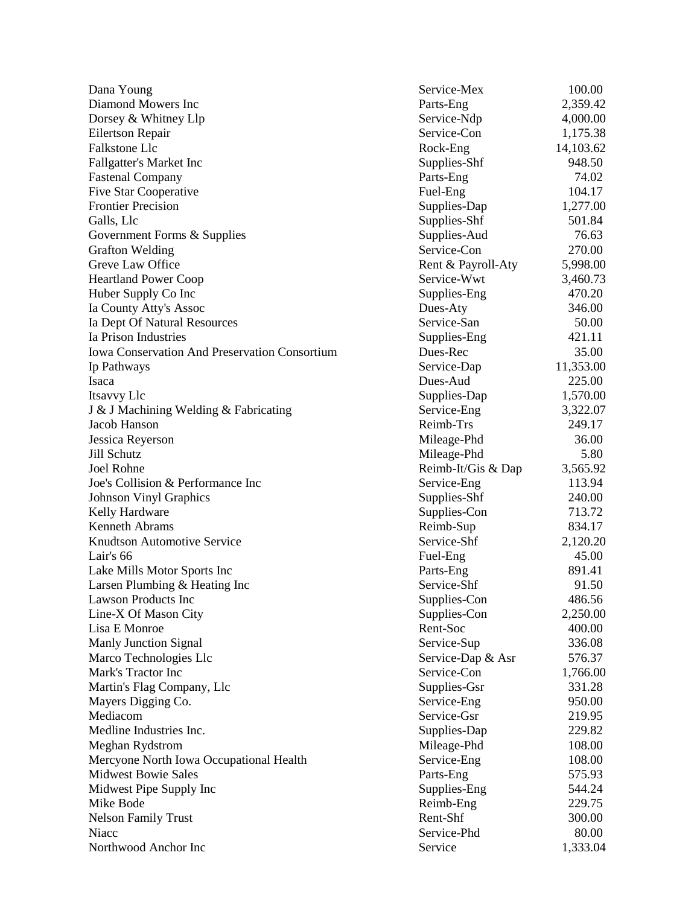| Dana Young                                                   | Service-Mex        | 100.00    |
|--------------------------------------------------------------|--------------------|-----------|
| Diamond Mowers Inc                                           | Parts-Eng          | 2,359.42  |
| Dorsey & Whitney Llp                                         | Service-Ndp        | 4,000.00  |
| Eilertson Repair                                             | Service-Con        | 1,175.38  |
| Falkstone Llc                                                | Rock-Eng           | 14,103.62 |
| Fallgatter's Market Inc                                      | Supplies-Shf       | 948.50    |
| <b>Fastenal Company</b>                                      | Parts-Eng          | 74.02     |
| <b>Five Star Cooperative</b>                                 | Fuel-Eng           | 104.17    |
| <b>Frontier Precision</b>                                    | Supplies-Dap       | 1,277.00  |
| Galls, Llc                                                   | Supplies-Shf       | 501.84    |
| Government Forms & Supplies                                  | Supplies-Aud       | 76.63     |
| <b>Grafton Welding</b>                                       | Service-Con        | 270.00    |
| Greve Law Office                                             | Rent & Payroll-Aty | 5,998.00  |
| <b>Heartland Power Coop</b>                                  | Service-Wwt        | 3,460.73  |
| Huber Supply Co Inc                                          | Supplies-Eng       | 470.20    |
| Ia County Atty's Assoc                                       | Dues-Aty           | 346.00    |
| Ia Dept Of Natural Resources                                 | Service-San        | 50.00     |
| Ia Prison Industries                                         | Supplies-Eng       | 421.11    |
| Iowa Conservation And Preservation Consortium                | Dues-Rec           | 35.00     |
| Ip Pathways                                                  | Service-Dap        | 11,353.00 |
| Isaca                                                        | Dues-Aud           | 225.00    |
| Itsavvy Llc                                                  | Supplies-Dap       | 1,570.00  |
| J & J Machining Welding & Fabricating                        | Service-Eng        | 3,322.07  |
| Jacob Hanson                                                 | Reimb-Trs          | 249.17    |
| Jessica Reyerson                                             | Mileage-Phd        | 36.00     |
| Jill Schutz                                                  | Mileage-Phd        | 5.80      |
| <b>Joel Rohne</b>                                            | Reimb-It/Gis & Dap | 3,565.92  |
| Joe's Collision & Performance Inc                            | Service-Eng        | 113.94    |
| <b>Johnson Vinyl Graphics</b>                                | Supplies-Shf       | 240.00    |
| Kelly Hardware                                               | Supplies-Con       | 713.72    |
| Kenneth Abrams                                               | Reimb-Sup          | 834.17    |
| <b>Knudtson Automotive Service</b>                           | Service-Shf        | 2,120.20  |
| Lair's 66                                                    | Fuel-Eng           | 45.00     |
|                                                              | Parts-Eng          | 891.41    |
| Lake Mills Motor Sports Inc<br>Larsen Plumbing & Heating Inc | Service-Shf        | 91.50     |
| <b>Lawson Products Inc</b>                                   |                    | 486.56    |
|                                                              | Supplies-Con       |           |
| Line-X Of Mason City                                         | Supplies-Con       | 2,250.00  |
| Lisa E Monroe                                                | Rent-Soc           | 400.00    |
| <b>Manly Junction Signal</b>                                 | Service-Sup        | 336.08    |
| Marco Technologies Llc                                       | Service-Dap & Asr  | 576.37    |
| Mark's Tractor Inc                                           | Service-Con        | 1,766.00  |
| Martin's Flag Company, Llc                                   | Supplies-Gsr       | 331.28    |
| Mayers Digging Co.                                           | Service-Eng        | 950.00    |
| Mediacom                                                     | Service-Gsr        | 219.95    |
| Medline Industries Inc.                                      | Supplies-Dap       | 229.82    |
| Meghan Rydstrom                                              | Mileage-Phd        | 108.00    |
| Mercyone North Iowa Occupational Health                      | Service-Eng        | 108.00    |
| <b>Midwest Bowie Sales</b>                                   | Parts-Eng          | 575.93    |
| Midwest Pipe Supply Inc                                      | Supplies-Eng       | 544.24    |
| Mike Bode                                                    | Reimb-Eng          | 229.75    |
| <b>Nelson Family Trust</b>                                   | Rent-Shf           | 300.00    |
| Niacc                                                        | Service-Phd        | 80.00     |
| Northwood Anchor Inc                                         | Service            | 1,333.04  |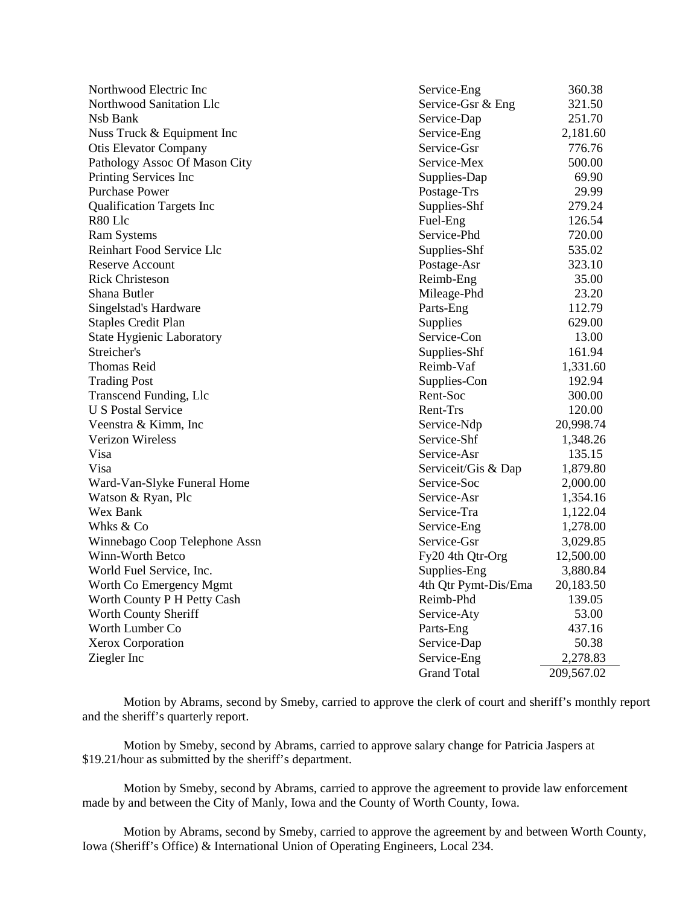| Northwood Electric Inc           | Service-Eng          | 360.38     |
|----------------------------------|----------------------|------------|
| Northwood Sanitation Llc         | Service-Gsr & Eng    | 321.50     |
| Nsb Bank                         | Service-Dap          | 251.70     |
| Nuss Truck & Equipment Inc       | Service-Eng          | 2,181.60   |
| <b>Otis Elevator Company</b>     | Service-Gsr          | 776.76     |
| Pathology Assoc Of Mason City    | Service-Mex          | 500.00     |
| Printing Services Inc            | Supplies-Dap         | 69.90      |
| <b>Purchase Power</b>            | Postage-Trs          | 29.99      |
| <b>Qualification Targets Inc</b> | Supplies-Shf         | 279.24     |
| R80 Llc                          | Fuel-Eng             | 126.54     |
| <b>Ram Systems</b>               | Service-Phd          | 720.00     |
| Reinhart Food Service Llc        | Supplies-Shf         | 535.02     |
| <b>Reserve Account</b>           | Postage-Asr          | 323.10     |
| <b>Rick Christeson</b>           | Reimb-Eng            | 35.00      |
| Shana Butler                     | Mileage-Phd          | 23.20      |
| Singelstad's Hardware            | Parts-Eng            | 112.79     |
| <b>Staples Credit Plan</b>       | Supplies             | 629.00     |
| <b>State Hygienic Laboratory</b> | Service-Con          | 13.00      |
| Streicher's                      | Supplies-Shf         | 161.94     |
| <b>Thomas Reid</b>               | Reimb-Vaf            | 1,331.60   |
| <b>Trading Post</b>              | Supplies-Con         | 192.94     |
| Transcend Funding, Llc           | Rent-Soc             | 300.00     |
| <b>U S Postal Service</b>        | Rent-Trs             | 120.00     |
| Veenstra & Kimm, Inc.            | Service-Ndp          | 20,998.74  |
| <b>Verizon Wireless</b>          | Service-Shf          | 1,348.26   |
| Visa                             | Service-Asr          | 135.15     |
| Visa                             | Serviceit/Gis & Dap  | 1,879.80   |
| Ward-Van-Slyke Funeral Home      | Service-Soc          | 2,000.00   |
| Watson & Ryan, Plc               | Service-Asr          | 1,354.16   |
| Wex Bank                         | Service-Tra          | 1,122.04   |
| Whks & Co                        | Service-Eng          | 1,278.00   |
| Winnebago Coop Telephone Assn    | Service-Gsr          | 3,029.85   |
| Winn-Worth Betco                 | Fy20 4th Qtr-Org     | 12,500.00  |
| World Fuel Service, Inc.         | Supplies-Eng         | 3,880.84   |
| Worth Co Emergency Mgmt          | 4th Qtr Pymt-Dis/Ema | 20,183.50  |
| Worth County P H Petty Cash      | Reimb-Phd            | 139.05     |
| Worth County Sheriff             | Service-Aty          | 53.00      |
| Worth Lumber Co                  | Parts-Eng            | 437.16     |
| Xerox Corporation                | Service-Dap          | 50.38      |
| Ziegler Inc                      | Service-Eng          | 2,278.83   |
|                                  | <b>Grand Total</b>   | 209,567.02 |

Motion by Abrams, second by Smeby, carried to approve the clerk of court and sheriff's monthly report and the sheriff's quarterly report.

Motion by Smeby, second by Abrams, carried to approve salary change for Patricia Jaspers at \$19.21/hour as submitted by the sheriff's department.

Motion by Smeby, second by Abrams, carried to approve the agreement to provide law enforcement made by and between the City of Manly, Iowa and the County of Worth County, Iowa.

Motion by Abrams, second by Smeby, carried to approve the agreement by and between Worth County, Iowa (Sheriff's Office) & International Union of Operating Engineers, Local 234.